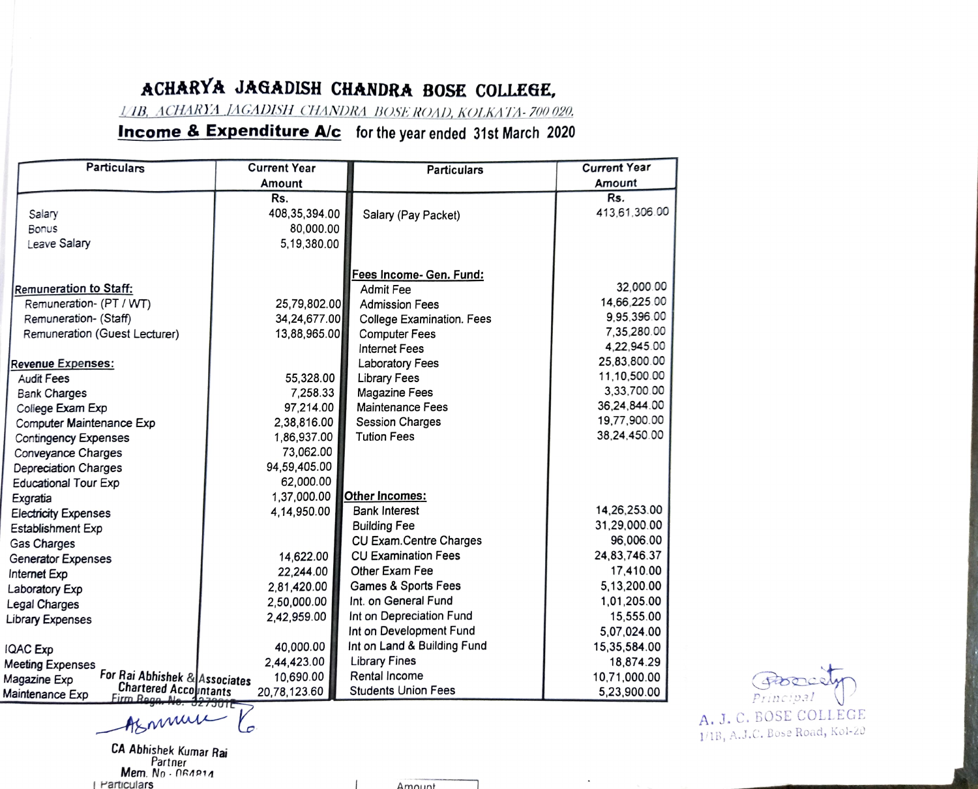## ACHARYA JAGADISH CHANDRA BOSE COLLEGE,

LAB, ACHARYA JAGADISH CHANDRA BOSE ROAD, KOLKATA-700 020.

## **Income & Expenditure A/c** for the year ended 31st March 2020

| <b>Particulars</b>                                       | <b>Current Year</b> | <b>Particulars</b>             | <b>Current Year</b> |           |
|----------------------------------------------------------|---------------------|--------------------------------|---------------------|-----------|
|                                                          | Amount              |                                | Amount              |           |
|                                                          | Rs.                 |                                | Rs.                 |           |
| Salary                                                   | 408,35,394.00       | Salary (Pay Packet)            | 413.61,306.00       |           |
| <b>Bonus</b>                                             | 80,000.00           |                                |                     |           |
| Leave Salary                                             | 5,19,380.00         |                                |                     |           |
|                                                          |                     |                                |                     |           |
| <b>Remuneration to Staff:</b>                            |                     | Fees Income- Gen. Fund:        | 32.000.00           |           |
|                                                          |                     | Admit Fee                      | 14.66.225.00        |           |
| Remuneration- (PT / WT)                                  | 25,79,802.00        | <b>Admission Fees</b>          | 9,95,396.00         |           |
| Remuneration- (Staff)                                    | 34,24,677.00        | College Examination. Fees      | 7.35.280.00         |           |
| Remuneration (Guest Lecturer)                            | 13,88,965.00        | <b>Computer Fees</b>           | 4.22.945.00         |           |
|                                                          |                     | <b>Internet Fees</b>           | 25,83,800.00        |           |
| Revenue Expenses:                                        |                     | Laboratory Fees                | 11,10,500.00        |           |
| Audit Fees                                               | 55,328.00           | <b>Library Fees</b>            |                     |           |
| <b>Bank Charges</b>                                      | 7.258.33            | <b>Magazine Fees</b>           | 3,33,700.00         |           |
| College Exam Exp                                         | 97,214.00           | <b>Maintenance Fees</b>        | 36,24,844.00        |           |
| Computer Maintenance Exp                                 | 2,38,816.00         | <b>Session Charges</b>         | 19,77,900.00        |           |
| <b>Contingency Expenses</b>                              | 1,86,937.00         | <b>Tution Fees</b>             | 38,24,450.00        |           |
| Conveyance Charges                                       | 73,062.00           |                                |                     |           |
| Depreciation Charges                                     | 94,59,405.00        |                                |                     |           |
| <b>Educational Tour Exp</b>                              | 62,000.00           |                                |                     |           |
| Exgratia                                                 | 1,37,000.00         | Other Incomes:                 |                     |           |
| <b>Electricity Expenses</b>                              | 4,14,950.00         | <b>Bank Interest</b>           | 14.26.253.00        |           |
| Establishment Exp                                        |                     | <b>Building Fee</b>            | 31,29,000.00        |           |
| Gas Charges                                              |                     | CU Exam.Centre Charges         | 96,006.00           |           |
| Generator Expenses                                       | 14,622.00           | <b>CU Examination Fees</b>     | 24,83,746.37        |           |
| Internet Exp                                             | 22,244.00           | Other Exam Fee                 | 17,410.00           |           |
| Laboratory Exp                                           | 2.81.420.00         | <b>Games &amp; Sports Fees</b> | 5,13,200.00         |           |
| Legal Charges                                            | 2,50,000.00         | Int. on General Fund           | 1,01,205.00         |           |
|                                                          | 2,42,959.00         | Int on Depreciation Fund       | 15,555.00           |           |
| Library Expenses                                         |                     | Int on Development Fund        | 5,07,024.00         |           |
| <b>IQAC Exp</b>                                          | 40.000.00           | Int on Land & Building Fund    | 15,35,584.00        |           |
|                                                          | 2.44.423.00         | <b>Library Fines</b>           | 18,874.29           |           |
| <b>Meeting Expenses</b><br>For Rai Abhishek & Associates | 10,690.00           | Rental Income                  | 10,71,000.00        |           |
| Magazine Exp<br><b>Chartered Accountants</b>             |                     | <b>Students Union Fees</b>     | 5,23,900.00         | mone      |
| Maintenance Exp<br>Firm Regn. No. 327901E                | 20,78,123.60        |                                |                     | Principal |

CA Abhishek Kumar Rai Partner Mem. No N6A1A Particulars Amount

A. J. C. BOSE COLLEGE 1/18, A.J.C. Eose Road, Kol-20